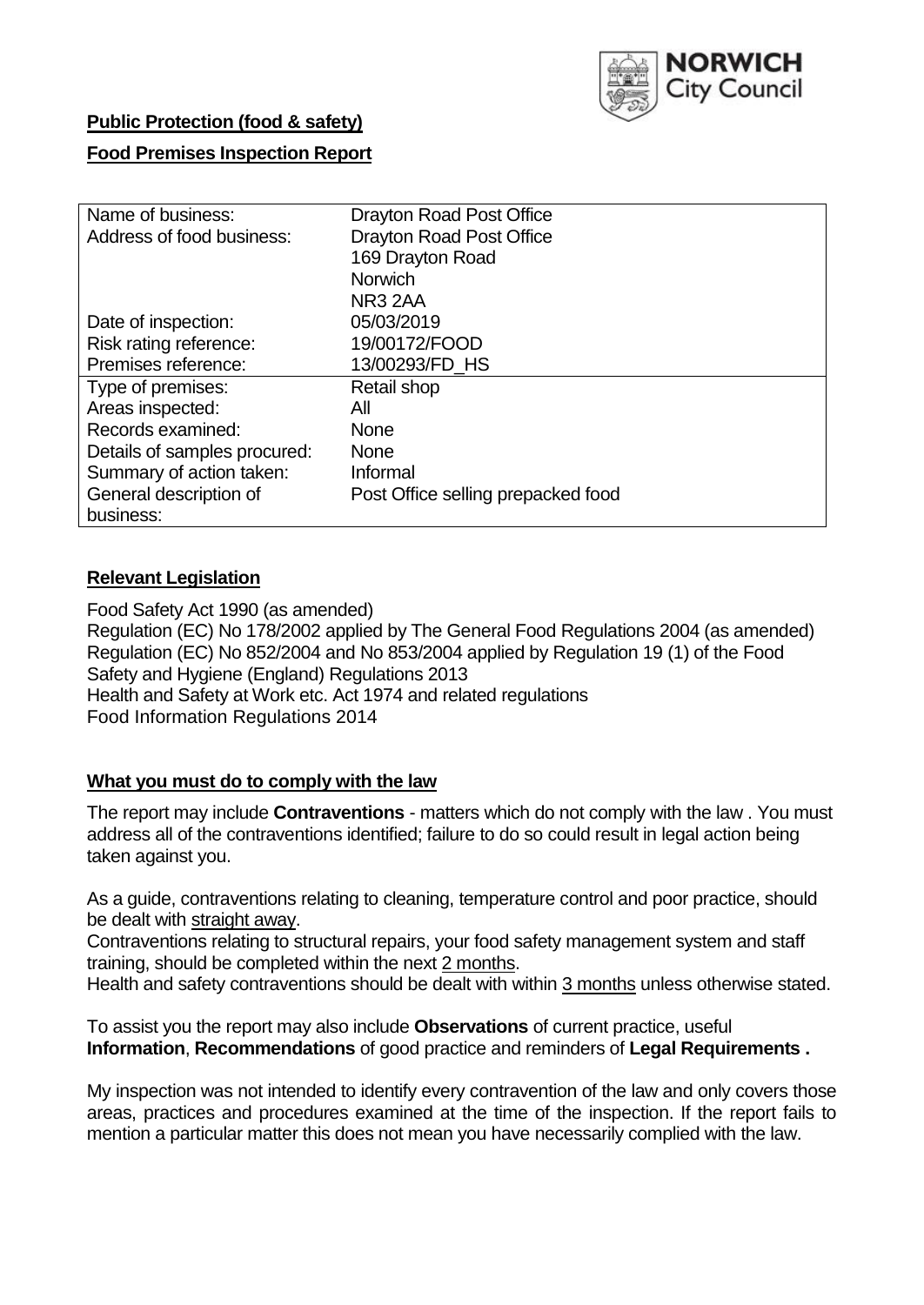

# **Public Protection (food & safety)**

## **Food Premises Inspection Report**

| Name of business:            | <b>Drayton Road Post Office</b>    |
|------------------------------|------------------------------------|
| Address of food business:    | <b>Drayton Road Post Office</b>    |
|                              | 169 Drayton Road                   |
|                              | <b>Norwich</b>                     |
|                              | NR <sub>3</sub> 2AA                |
| Date of inspection:          | 05/03/2019                         |
| Risk rating reference:       | 19/00172/FOOD                      |
| Premises reference:          | 13/00293/FD HS                     |
| Type of premises:            | Retail shop                        |
| Areas inspected:             | All                                |
| Records examined:            | <b>None</b>                        |
| Details of samples procured: | <b>None</b>                        |
| Summary of action taken:     | Informal                           |
| General description of       | Post Office selling prepacked food |
| business:                    |                                    |

# **Relevant Legislation**

Food Safety Act 1990 (as amended) Regulation (EC) No 178/2002 applied by The General Food Regulations 2004 (as amended) Regulation (EC) No 852/2004 and No 853/2004 applied by Regulation 19 (1) of the Food Safety and Hygiene (England) Regulations 2013 Health and Safety at Work etc. Act 1974 and related regulations Food Information Regulations 2014

## **What you must do to comply with the law**

The report may include **Contraventions** - matters which do not comply with the law . You must address all of the contraventions identified; failure to do so could result in legal action being taken against you.

As a guide, contraventions relating to cleaning, temperature control and poor practice, should be dealt with straight away.

Contraventions relating to structural repairs, your food safety management system and staff training, should be completed within the next 2 months.

Health and safety contraventions should be dealt with within 3 months unless otherwise stated.

To assist you the report may also include **Observations** of current practice, useful **Information**, **Recommendations** of good practice and reminders of **Legal Requirements .**

My inspection was not intended to identify every contravention of the law and only covers those areas, practices and procedures examined at the time of the inspection. If the report fails to mention a particular matter this does not mean you have necessarily complied with the law.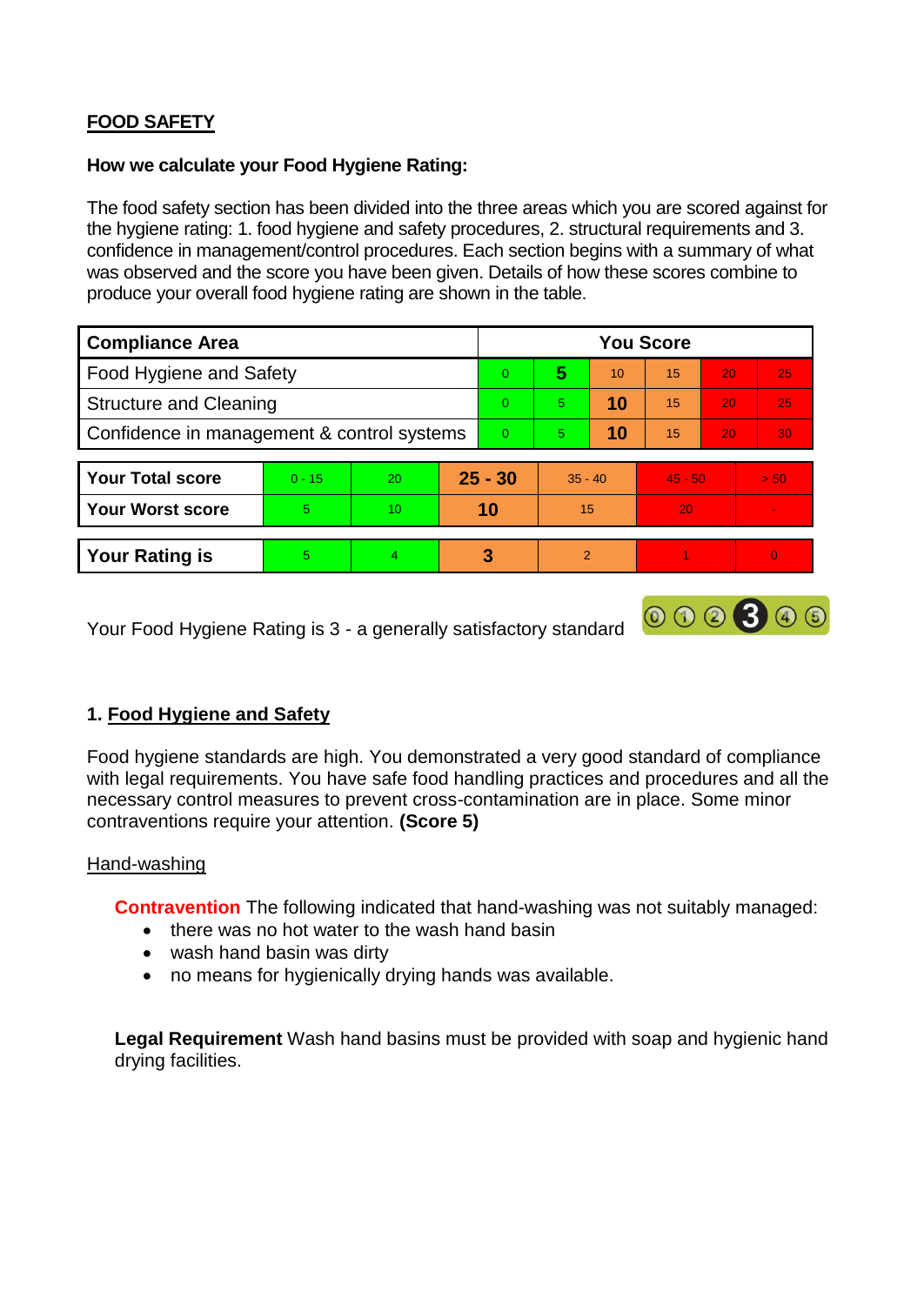# **FOOD SAFETY**

#### **How we calculate your Food Hygiene Rating:**

The food safety section has been divided into the three areas which you are scored against for the hygiene rating: 1. food hygiene and safety procedures, 2. structural requirements and 3. confidence in management/control procedures. Each section begins with a summary of what was observed and the score you have been given. Details of how these scores combine to produce your overall food hygiene rating are shown in the table.

| <b>Compliance Area</b>                     |          |    |           | <b>You Score</b> |                |    |           |                 |          |  |  |
|--------------------------------------------|----------|----|-----------|------------------|----------------|----|-----------|-----------------|----------|--|--|
| Food Hygiene and Safety                    |          |    |           | $\Omega$         | 5              | 10 | 15        | 20              | 25       |  |  |
| <b>Structure and Cleaning</b>              |          |    | $\Omega$  | 5                | 10             | 15 | 20        | 25              |          |  |  |
| Confidence in management & control systems |          |    | $\Omega$  | 5                | 10             | 15 | 20        | 30 <sup>°</sup> |          |  |  |
|                                            |          |    |           |                  |                |    |           |                 |          |  |  |
| <b>Your Total score</b>                    | $0 - 15$ | 20 | $25 - 30$ |                  | $35 - 40$      |    | $45 - 50$ |                 | > 50     |  |  |
| <b>Your Worst score</b>                    | 5        | 10 | 10        |                  | 15             |    | 20        |                 |          |  |  |
|                                            |          |    |           |                  |                |    |           |                 |          |  |  |
| <b>Your Rating is</b>                      | 5        | 4  |           | 3                | $\mathfrak{p}$ |    |           |                 | $\Omega$ |  |  |

Your Food Hygiene Rating is 3 - a generally satisfactory standard

# **1. Food Hygiene and Safety**

Food hygiene standards are high. You demonstrated a very good standard of compliance with legal requirements. You have safe food handling practices and procedures and all the necessary control measures to prevent cross-contamination are in place. Some minor contraventions require your attention. **(Score 5)**

000300

## Hand-washing

**Contravention** The following indicated that hand-washing was not suitably managed:

- there was no hot water to the wash hand basin
- wash hand basin was dirty
- no means for hygienically drying hands was available.

**Legal Requirement** Wash hand basins must be provided with soap and hygienic hand drying facilities.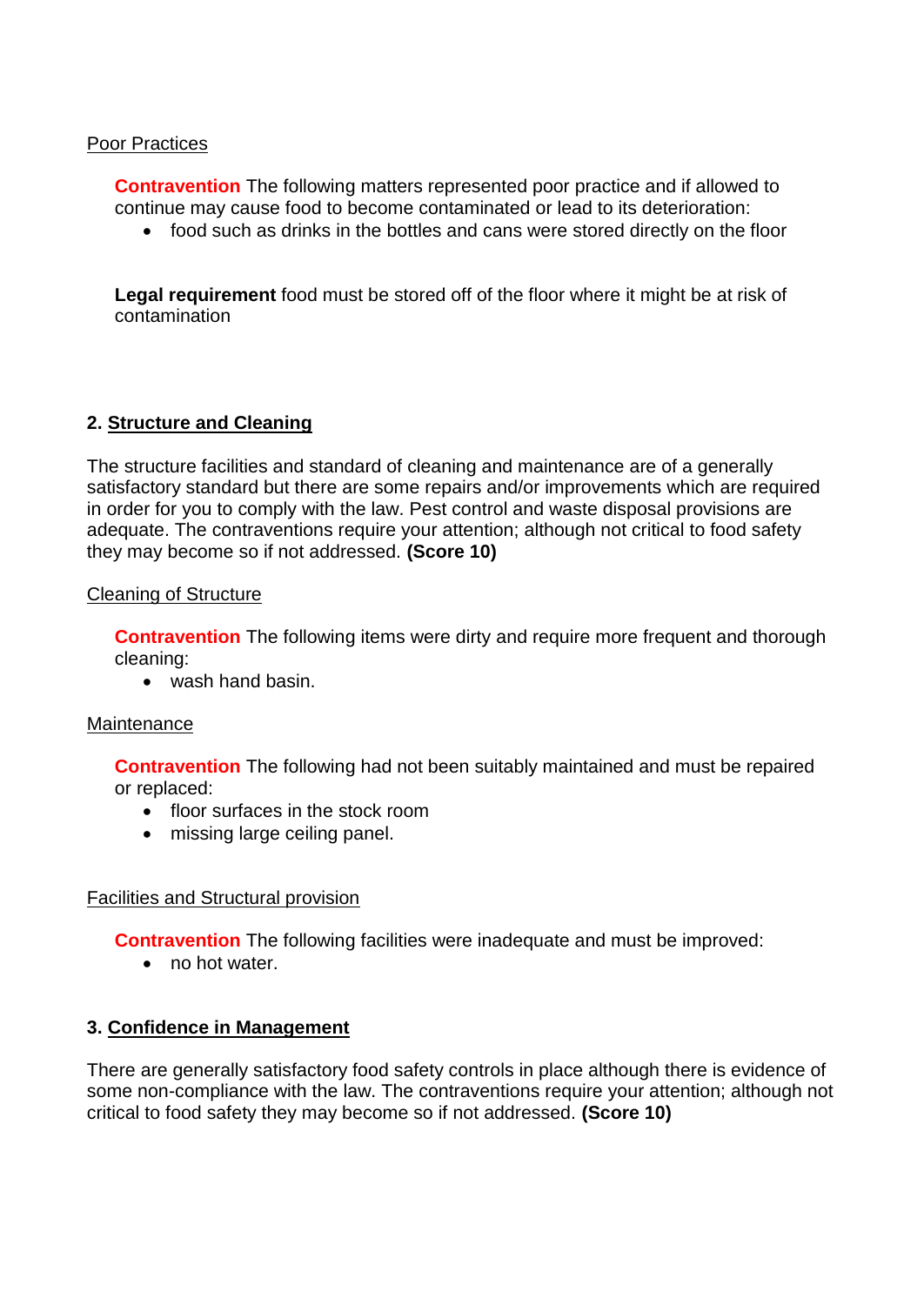#### Poor Practices

**Contravention** The following matters represented poor practice and if allowed to continue may cause food to become contaminated or lead to its deterioration:

food such as drinks in the bottles and cans were stored directly on the floor

**Legal requirement** food must be stored off of the floor where it might be at risk of contamination

#### **2. Structure and Cleaning**

The structure facilities and standard of cleaning and maintenance are of a generally satisfactory standard but there are some repairs and/or improvements which are required in order for you to comply with the law. Pest control and waste disposal provisions are adequate. The contraventions require your attention; although not critical to food safety they may become so if not addressed. **(Score 10)**

#### Cleaning of Structure

**Contravention** The following items were dirty and require more frequent and thorough cleaning:

• wash hand basin.

#### **Maintenance**

**Contravention** The following had not been suitably maintained and must be repaired or replaced:

- floor surfaces in the stock room
- missing large ceiling panel.

## Facilities and Structural provision

**Contravention** The following facilities were inadequate and must be improved:

no hot water.

## **3. Confidence in Management**

There are generally satisfactory food safety controls in place although there is evidence of some non-compliance with the law. The contraventions require your attention; although not critical to food safety they may become so if not addressed. **(Score 10)**